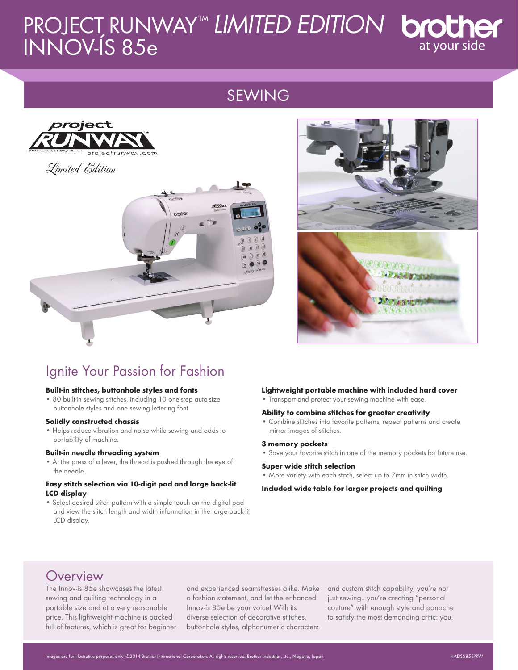# PROJECT RUNWAY ™ *LIMITED EDITION* INNOV-ÍS 85e

# SEWING



Limited Edition





# Ignite Your Passion for Fashion

#### **Built-in stitches, buttonhole styles and fonts**

• 80 built-in sewing stitches, including 10 one-step auto-size buttonhole styles and one sewing lettering font.

#### **Solidly constructed chassis**

• Helps reduce vibration and noise while sewing and adds to portability of machine.

#### **Built-in needle threading system**

• At the press of a lever, the thread is pushed through the eye of the needle.

#### **Easy stitch selection via 10-digit pad and large back-lit LCD display**

• Select desired stitch pattern with a simple touch on the digital pad and view the stitch length and width information in the large back-lit LCD display.

#### **Lightweight portable machine with included hard cover**

• Transport and protect your sewing machine with ease.

#### **Ability to combine stitches for greater creativity**

• Combine stitches into favorite patterns, repeat patterns and create mirror images of stitches.

#### **3 memory pockets**

• Save your favorite stitch in one of the memory pockets for future use.

#### **Super wide stitch selection**

• More variety with each stitch, select up to 7mm in stitch width.

#### **Included wide table for larger projects and quilting**

# **Overview**

The Innov-ís 85e showcases the latest sewing and quilting technology in a portable size and at a very reasonable price. This lightweight machine is packed full of features, which is great for beginner and experienced seamstresses alike. Make a fashion statement, and let the enhanced Innov-ís 85e be your voice! With its diverse selection of decorative stitches, buttonhole styles, alphanumeric characters

and custom stitch capability, you're not just sewing...you*,* re creating "personal couture" with enough style and panache to satisfy the most demanding critic: you.